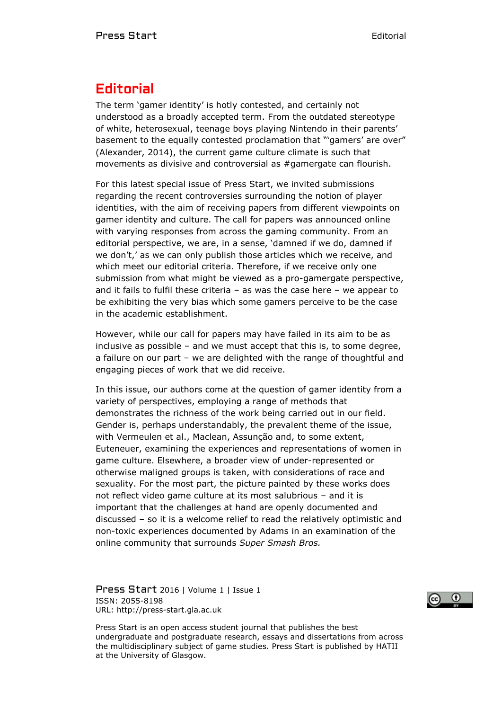## **Editorial**

The term 'gamer identity' is hotly contested, and certainly not understood as a broadly accepted term. From the outdated stereotype of white, heterosexual, teenage boys playing Nintendo in their parents' basement to the equally contested proclamation that "'gamers' are over" (Alexander, 2014), the current game culture climate is such that movements as divisive and controversial as #gamergate can flourish.

For this latest special issue of Press Start, we invited submissions regarding the recent controversies surrounding the notion of player identities, with the aim of receiving papers from different viewpoints on gamer identity and culture. The call for papers was announced online with varying responses from across the gaming community. From an editorial perspective, we are, in a sense, 'damned if we do, damned if we don't,' as we can only publish those articles which we receive, and which meet our editorial criteria. Therefore, if we receive only one submission from what might be viewed as a pro-gamergate perspective, and it fails to fulfil these criteria  $-$  as was the case here  $-$  we appear to be exhibiting the very bias which some gamers perceive to be the case in the academic establishment.

However, while our call for papers may have failed in its aim to be as inclusive as possible – and we must accept that this is, to some degree, a failure on our part – we are delighted with the range of thoughtful and engaging pieces of work that we did receive.

In this issue, our authors come at the question of gamer identity from a variety of perspectives, employing a range of methods that demonstrates the richness of the work being carried out in our field. Gender is, perhaps understandably, the prevalent theme of the issue, with Vermeulen et al., Maclean, Assunção and, to some extent, Euteneuer, examining the experiences and representations of women in game culture. Elsewhere, a broader view of under-represented or otherwise maligned groups is taken, with considerations of race and sexuality. For the most part, the picture painted by these works does not reflect video game culture at its most salubrious – and it is important that the challenges at hand are openly documented and discussed – so it is a welcome relief to read the relatively optimistic and non-toxic experiences documented by Adams in an examination of the online community that surrounds *Super Smash Bros.*

Press Start 2016 | Volume 1 | Issue 1 ISSN: 2055-8198 URL: http://press-start.gla.ac.uk



Press Start is an open access student journal that publishes the best undergraduate and postgraduate research, essays and dissertations from across the multidisciplinary subject of game studies. Press Start is published by HATII at the University of Glasgow.